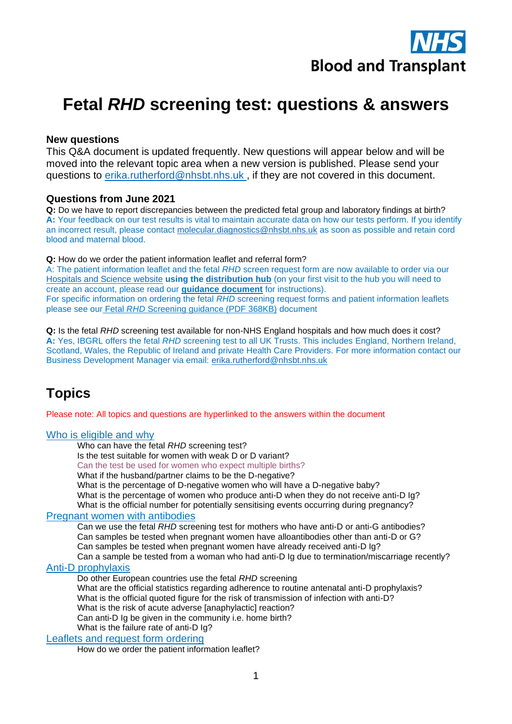

# **Fetal** *RHD* **screening test: questions & answers**

## **New questions**

This Q&A document is updated frequently. New questions will appear below and will be moved into the relevant topic area when a new version is published. Please send your questions to [erika.rutherford@nhsbt.nhs.uk](mailto:erika.rutherford@nhsbt.nhs.uk) , if they are not covered in this document.

## **Questions from June 2021**

**Q:** Do we have to report discrepancies between the predicted fetal group and laboratory findings at birth? **A:** Your feedback on our test results is vital to maintain accurate data on how our tests perform. If you identify an incorrect result, please contact [molecular.diagnostics@nhsbt.nhs.uk](mailto:molecular.diagnostics@nhsbt.nhs.uk) as soon as possible and retain cord blood and maternal blood.

**Q:** How do we order the patient information leaflet and referral form?

A: The patient information leaflet and the fetal *RHD* screen request form are now available to order via our [Hospitals and Science website](http://hospital.blood.co.uk/patient-services/patient-blood-management/patient-information-leaflets/) **using the [distribution hub](https://hospital.nhsbtleaflets.co.uk/)** (on your first visit to the hub you will need to create an account, please read our **[guidance document](http://hospital.blood.co.uk/media/29289/ordering-patient-information-leaflet-v1.pdf)** for instructions). For specific information on ordering the fetal *RHD* screening request forms and patient information leaflets please see our Fetal *RHD* [Screening guidance \(PDF 368KB\)](https://nhsbtdbe.blob.core.windows.net/umbraco-assets-corp/21811/fetal-rhd-screening-guidance.pdf) document

**Q:** Is the fetal *RHD* screening test available for non-NHS England hospitals and how much does it cost? **A:** Yes, IBGRL offers the fetal *RHD* screening test to all UK Trusts. This includes England, Northern Ireland, Scotland, Wales, the Republic of Ireland and private Health Care Providers. For more information contact our Business Development Manager via email: [erika.rutherford@nhsbt.nhs.uk](mailto:erika.rutherford@nhsbt.nhs.uk) 

## **Topics**

Please note: All topics and questions are hyperlinked to the answers within the document

#### [Who is eligible and why](#page-1-0)

[Who can have the fetal](#page-2-0) *RHD* screening test?

[Is the test suitable for women with weak D or D variant?](#page-2-1)

[Can the test be used for women who expect multiple births?](#page-2-2)

[What if the husband/partner claims to be the D-negative?](#page-2-3)

[What is the percentage of D-negative women who will have a D-negative baby?](#page-2-4)

What is the percentage of women who [produce anti-D when they do not receive anti-D Ig?](#page-2-5)

[What is the official number for potentially sensitising events occurring during pregnancy?](#page-2-6)

#### Pregnant [women with antibodies](#page-2-7)

Can we use the fetal *RHD* [screening test for mothers who have anti-D or anti-G antibodies?](#page-3-0) [Can samples be tested when pregnant women have alloantibodies other than anti-D or G?](#page-3-1) [Can samples be tested when pregnant women have already received anti-D Ig?](#page-3-2)

[Can a sample be tested from a woman who had anti-D Ig due to termination/miscarriage recently?](#page-3-3) [Anti-D prophylaxis](#page-3-4)

[Do other European countries use the fetal](#page-4-0) *RHD* screening

[What are the official statistics regarding adherence to routine antenatal anti-D prophylaxis?](#page-4-1) [What is the official quoted figure for the risk of transmission of infection with anti-D?](#page-4-2) [What is the risk of acute adverse \[anaphylactic\] reaction?](#page-4-3) Can anti-D [Ig be given in the community i.e. home birth?](#page-4-4)

What is the failure rate of anti-D Iq?

#### Leaflets [and request form ordering](#page-5-1)

[How do we order the patient information leaflet?](#page-5-2)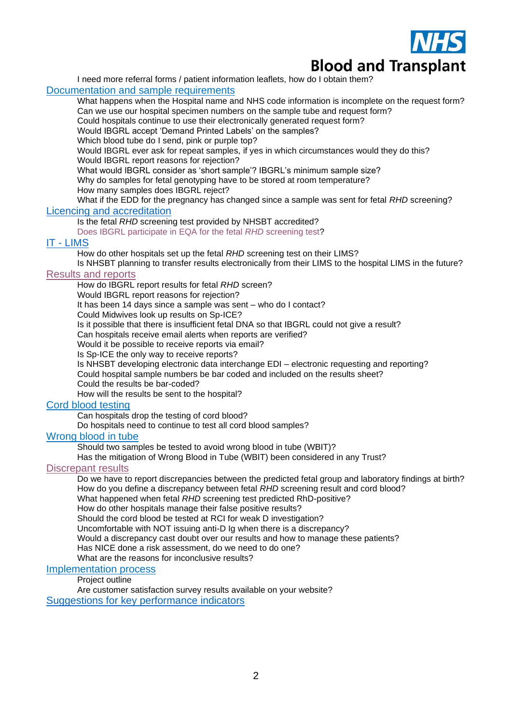

[I need more referral forms / patient information leaflets, how do I obtain them?](#page-5-3)

## Documentation [and sample requirements](#page-5-4)

[What happens when the Hospital name and NHS code information is incomplete on the request form?](#page-6-0) [Can we use our hospital specimen numbers on the sample tube and request form?](#page-6-1)

[Could hospitals continue to use their electronically generated request form?](#page-6-2)

[Would IBGRL accept 'Demand Printed Labels' on the samples?](#page-7-0)

[Which blood tube do I send, pink or purple top?](#page-7-1)

[Would IBGRL ever ask for repeat samples, if yes in which circumstances would they do this?](#page-13-0) [Would IBGRL report reasons for rejection?](#page-13-1)

[What would IBGRL consider as 'short sample'? IBGRL's minimum sample size?](#page-7-2)

[Why do samples for fetal genotyping have to be stored at room temperature?](#page-7-3)

[How many samples does IBGRL reject?](#page-7-4)

<span id="page-1-1"></span>[What if the EDD for the pregnancy has changed since a sample was sent for fetal](#page-8-0) *RHD* screening? [Licencing and accreditation](#page-1-1)

## Is the fetal *RHD* [screening test provided by NHSBT accredited?](#page-8-1)

[Does IBGRL participate in EQA for the fetal](#page-8-2) *RHD* screening test?

## IT - [LIMS](#page-8-3)

[How do other hospitals set up the fetal](#page-8-4) *RHD* screening test on their LIMS?

[Is NHSBT planning to transfer results electronically from their LIMS to the hospital LIMS in the future?](#page-8-5)

## [Results and reports](#page-8-6)

[How do IBGRL report results for fetal](#page-9-0) *RHD* screen?

[Would IBGRL report reasons for rejection?](#page-9-1)

[It has been 14 days since a sample was sent –](#page-9-2) who do I contact?

[Could Midwives look up results on Sp-ICE?](#page-9-3)

[Is it possible that there is insufficient fetal DNA so that IBGRL could not give a result?](#page-9-4)

[Can hospitals receive email alerts when reports are verified?](#page-9-5)

[Would it be possible to receive reports via email?](#page-9-6)

[Is Sp-ICE the only way to receive reports?](#page-9-7)

[Is NHSBT developing electronic data interchange EDI –](#page-9-8) electronic requesting and reporting? [Could hospital sample numbers be bar coded and included on the results sheet?](#page-10-0)

[Could the results be bar-coded?](#page-10-1)

[How will the results be sent to the hospital?](#page-10-2)

#### [Cord blood testing](#page-10-3)

[Can hospitals drop the testing of cord blood?](#page-10-4)

[Do hospitals need to continue to test all cord blood samples?](#page-10-5)

#### [Wrong blood in tube](#page-10-6)

[Should two samples be tested to avoid wrong blood in tube \(WBIT\)?](#page-11-0)

[Has the mitigation of Wrong Blood in Tube \(WBIT\) been considered in any Trust?](#page-11-1)

## **[Discrepant results](#page-12-0)**

[Do we have to report discrepancies between the predicted fetal group and laboratory findings at birth?](#page-12-1) [How do you define a discrepancy between fetal](#page-12-2) *RHD* screening result and cord blood?

What happened when fetal *RHD* [screening test predicted RhD-positive?](#page-12-3)

[How do other hospitals manage their false positive results?](#page-13-2)

[Should the cord blood be tested at RCI for weak D investigation?](#page-13-3)

[Uncomfortable with NOT issuing anti-D Ig when there is a discrepancy?](#page-13-0)

Would a discrepancy cast [doubt over our results and how to manage these patients?](#page-13-1)

[Has NICE done a risk assessment, do we need to do one?](#page-13-4)

[What are the reasons for inconclusive results?](#page-13-5)

## [Implementation process](#page-13-6)

Project outline

<span id="page-1-0"></span>[Are customer satisfaction survey results available on your website?](#page-14-0) Suggestions for key performance indicators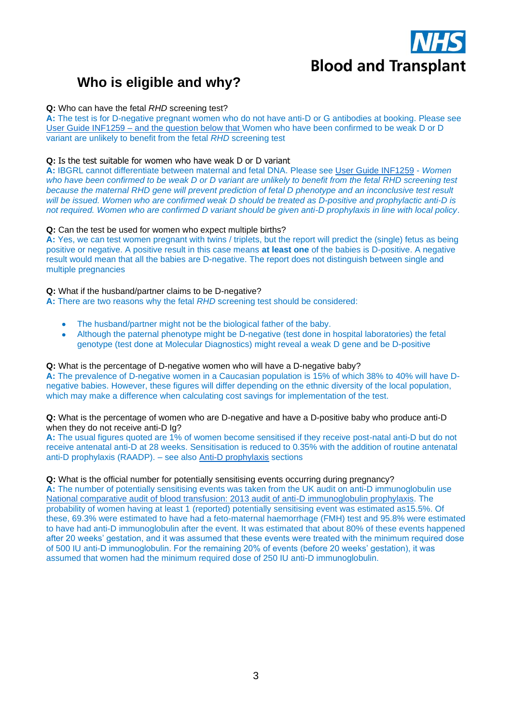

# **Who is eligible and why?**

#### <span id="page-2-0"></span>**Q:** Who can have the fetal *RHD* screening test?

**A:** The test is for D-negative pregnant women who do not have anti-D or G antibodies at booking. Please see [User Guide INF1259](https://nhsbtdbe.blob.core.windows.net/umbraco-assets-corp/11849/inf1259.pdf) – and the question below that Women who have been confirmed to be weak D or D variant are unlikely to benefit from the fetal *RHD* screening test

#### <span id="page-2-1"></span>**Q:** Is the test suitable for women who have weak D or D variant

**A:** IBGRL cannot differentiate between maternal and fetal DNA. Please see [User Guide INF1259](https://nhsbtdbe.blob.core.windows.net/umbraco-assets-corp/11849/inf1259.pdf) - *Women who have been confirmed to be weak D or D variant are unlikely to benefit from the fetal RHD screening test because the maternal RHD gene will prevent prediction of fetal D phenotype and an inconclusive test result will be issued. Women who are confirmed weak D should be treated as D-positive and prophylactic anti-D is not required. Women who are confirmed D variant should be given anti-D prophylaxis in line with local policy*.

#### <span id="page-2-2"></span>**Q:** Can the test be used for women who expect multiple births?

**A:** Yes, we can test women pregnant with twins / triplets, but the report will predict the (single) fetus as being positive or negative. A positive result in this case means **at least one** of the babies is D-positive. A negative result would mean that all the babies are D-negative. The report does not distinguish between single and multiple pregnancies

#### <span id="page-2-3"></span>**Q:** What if the husband/partner claims to be D-negative?

**A:** There are two reasons why the fetal *RHD* screening test should be considered:

- The husband/partner might not be the biological father of the baby.
- Although the paternal phenotype might be D-negative (test done in hospital laboratories) the fetal genotype (test done at Molecular Diagnostics) might reveal a weak D gene and be D-positive

#### <span id="page-2-4"></span>**Q:** What is the percentage of D-negative women who will have a D-negative baby? **A:** The prevalence of D-negative women in a Caucasian population is 15% of which 38% to 40% will have Dnegative babies. However, these figures will differ depending on the ethnic diversity of the local population, which may make a difference when calculating cost savings for implementation of the test.

<span id="page-2-5"></span>**Q:** What is the percentage of women who are D-negative and have a D-positive baby who produce anti-D when they do not receive anti-D Ig?

**A:** The usual figures quoted are 1% of women become sensitised if they receive post-natal anti-D but do not receive antenatal anti-D at 28 weeks. Sensitisation is reduced to 0.35% with the addition of routine antenatal anti-D prophylaxis (RAADP). – see also [Anti-D prophylaxis](#page-3-4) sections

#### <span id="page-2-6"></span>**Q:** What is the official number for potentially sensitising events occurring during pregnancy?

<span id="page-2-7"></span>**A:** The number of potentially sensitising events was taken from the UK audit on anti-D immunoglobulin use [National comparative audit of blood transfusion: 2013 audit of anti-D immunoglobulin prophylaxis.](http://hospital.blood.co.uk/media/27577/2013-anti-d-audit-report.pdf) The probability of women having at least 1 (reported) potentially sensitising event was estimated as15.5%. Of these, 69.3% were estimated to have had a feto-maternal haemorrhage (FMH) test and 95.8% were estimated to have had anti-D immunoglobulin after the event. It was estimated that about 80% of these events happened after 20 weeks' gestation, and it was assumed that these events were treated with the minimum required dose of 500 IU anti-D immunoglobulin. For the remaining 20% of events (before 20 weeks' gestation), it was assumed that women had the minimum required dose of 250 IU anti-D immunoglobulin.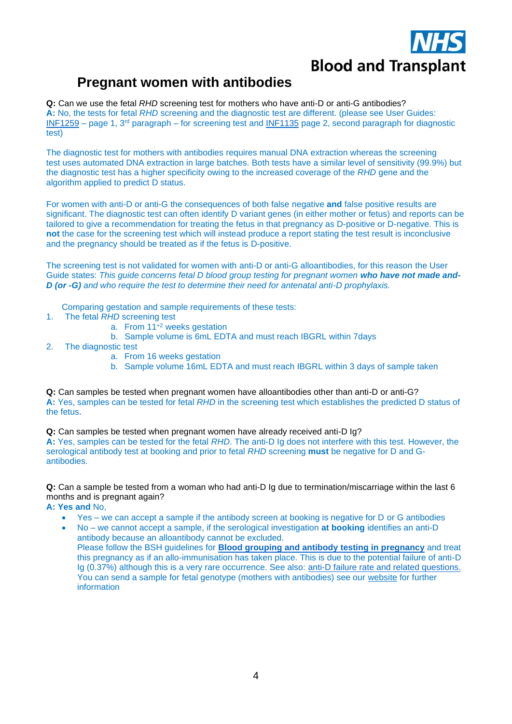

## **Pregnant women with antibodies**

<span id="page-3-0"></span>**Q:** Can we use the fetal *RHD* screening test for mothers who have anti-D or anti-G antibodies? **A:** No, the tests for fetal *RHD* screening and the diagnostic test are different. (please see User Guides: [INF1259](https://nhsbtdbe.blob.core.windows.net/umbraco-assets-corp/11849/inf1259.pdf) – page 1, 3<sup>rd</sup> paragraph – for screening test and [INF1135](https://nhsbtdbe.blob.core.windows.net/umbraco-assets-corp/10756/inf1135.pdf) page 2, second paragraph for diagnostic test)

The diagnostic test for mothers with antibodies requires manual DNA extraction whereas the screening test uses automated DNA extraction in large batches. Both tests have a similar level of sensitivity (99.9%) but the diagnostic test has a higher specificity owing to the increased coverage of the *RHD* gene and the algorithm applied to predict D status.

For women with anti-D or anti-G the consequences of both false negative **and** false positive results are significant. The diagnostic test can often identify D variant genes (in either mother or fetus) and reports can be tailored to give a recommendation for treating the fetus in that pregnancy as D-positive or D-negative. This is **not** the case for the screening test which will instead produce a report stating the test result is inconclusive and the pregnancy should be treated as if the fetus is D-positive.

The screening test is not validated for women with anti-D or anti-G alloantibodies, for this reason the User Guide states: *This guide concerns fetal D blood group testing for pregnant women who have not made and-D (or -G) and who require the test to determine their need for antenatal anti-D prophylaxis.*

Comparing gestation and sample requirements of these tests:

- 1. The fetal *RHD* screening test
	- a. From  $11^{+2}$  weeks gestation
	- b. Sample volume is 6mL EDTA and must reach IBGRL within 7days
- 2. The diagnostic test
	- a. From 16 weeks gestation
	- b. Sample volume 16mL EDTA and must reach IBGRL within 3 days of sample taken

<span id="page-3-1"></span>**Q:** Can samples be tested when pregnant women have alloantibodies other than anti-D or anti-G? **A:** Yes, samples can be tested for fetal *RHD* in the screening test which establishes the predicted D status of the fetus.

<span id="page-3-2"></span>**Q:** Can samples be tested when pregnant women have already received anti-D Ig?

**A:** Yes, samples can be tested for the fetal *RHD*. The anti-D Ig does not interfere with this test. However, the serological antibody test at booking and prior to fetal *RHD* screening **must** be negative for D and Gantibodies.

<span id="page-3-3"></span>**Q:** Can a sample be tested from a woman who had anti-D Ig due to termination/miscarriage within the last 6 months and is pregnant again?

**A: Yes and** No,

- Yes we can accept a sample if the antibody screen at booking is negative for D or G antibodies
- No we cannot accept a sample, if the serological investigation **at booking** identifies an anti-D antibody because an alloantibody cannot be excluded. Please follow the BSH guidelines for **[Blood grouping and antibody](https://b-s-h.org.uk/guidelines/guidelines/blood-grouping-and-antibody-testing-in-pregnancy/) testing in pregnancy** and treat

<span id="page-3-4"></span>this pregnancy as if an allo-immunisation has taken place. This is due to the potential failure of anti-D Ig (0.37%) although this is a very rare occurrence. See also: anti-D failure rate and related questions. You can send a sample for fetal genotype (mothers with antibodies) see our [website](https://ibgrl.blood.co.uk/services/molecular-diagnostics/) for further information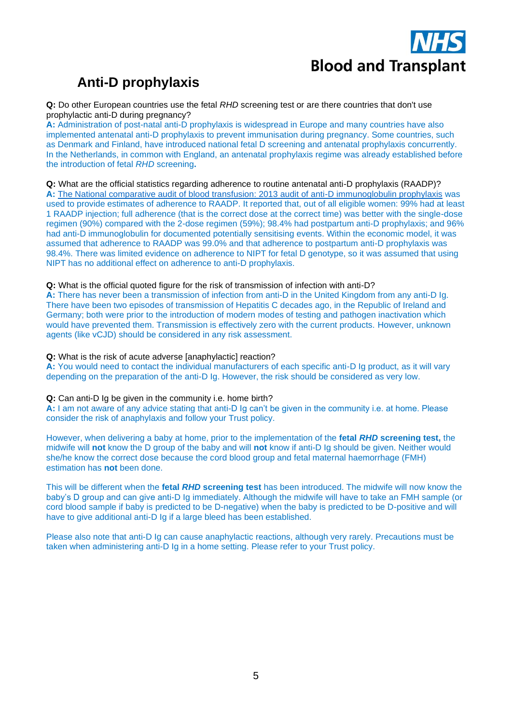# **Anti-D prophylaxis**

<span id="page-4-0"></span>**Q:** Do other European countries use the fetal *RHD* screening test or are there countries that don't use prophylactic anti-D during pregnancy?

**A:** Administration of post-natal anti-D prophylaxis is widespread in Europe and many countries have also implemented antenatal anti-D prophylaxis to prevent immunisation during pregnancy. Some countries, such as Denmark and Finland, have introduced national fetal D screening and antenatal prophylaxis concurrently. In the Netherlands, in common with England, an antenatal prophylaxis regime was already established before the introduction of fetal *RHD* screening**.** 

#### <span id="page-4-1"></span>**Q:** What are the official statistics regarding adherence to routine antenatal anti-D prophylaxis (RAADP)?

**A:** [The National comparative audit of blood transfusion: 2013 audit of anti-D immunoglobulin prophylaxis](http://hospital.blood.co.uk/media/27577/2013-anti-d-audit-report.pdf) was used to provide estimates of adherence to RAADP. It reported that, out of all eligible women: 99% had at least 1 RAADP injection; full adherence (that is the correct dose at the correct time) was better with the single-dose regimen (90%) compared with the 2-dose regimen (59%); 98.4% had postpartum anti-D prophylaxis; and 96% had anti-D immunoglobulin for documented potentially sensitising events. Within the economic model, it was assumed that adherence to RAADP was 99.0% and that adherence to postpartum anti-D prophylaxis was 98.4%. There was limited evidence on adherence to NIPT for fetal D genotype, so it was assumed that using NIPT has no additional effect on adherence to anti-D prophylaxis.

#### <span id="page-4-2"></span>**Q:** What is the official quoted figure for the risk of transmission of infection with anti-D?

**A:** There has never been a transmission of infection from anti-D in the United Kingdom from any anti-D Ig. There have been two episodes of transmission of Hepatitis C decades ago, in the Republic of Ireland and Germany; both were prior to the introduction of modern modes of testing and pathogen inactivation which would have prevented them. Transmission is effectively zero with the current products. However, unknown agents (like vCJD) should be considered in any risk assessment.

#### <span id="page-4-3"></span>**Q:** What is the risk of acute adverse [anaphylactic] reaction?

**A:** You would need to contact the individual manufacturers of each specific anti-D Ig product, as it will vary depending on the preparation of the anti-D Ig. However, the risk should be considered as very low.

#### <span id="page-4-4"></span>**Q:** Can anti-D Ig be given in the community i.e. home birth?

**A:** I am not aware of any advice stating that anti-D Ig can't be given in the community i.e. at home. Please consider the risk of anaphylaxis and follow your Trust policy.

However, when delivering a baby at home, prior to the implementation of the **fetal** *RHD* **screening test,** the midwife will **not** know the D group of the baby and will **not** know if anti-D Ig should be given. Neither would she/he know the correct dose because the cord blood group and fetal maternal haemorrhage (FMH) estimation has **not** been done.

This will be different when the **fetal** *RHD* **screening test** has been introduced. The midwife will now know the baby's D group and can give anti-D Ig immediately. Although the midwife will have to take an FMH sample (or cord blood sample if baby is predicted to be D-negative) when the baby is predicted to be D-positive and will have to give additional anti-D Ig if a large bleed has been established.

Please also note that anti-D Ig can cause anaphylactic reactions, although very rarely. Precautions must be taken when administering anti-D Ig in a home setting. Please refer to your Trust policy.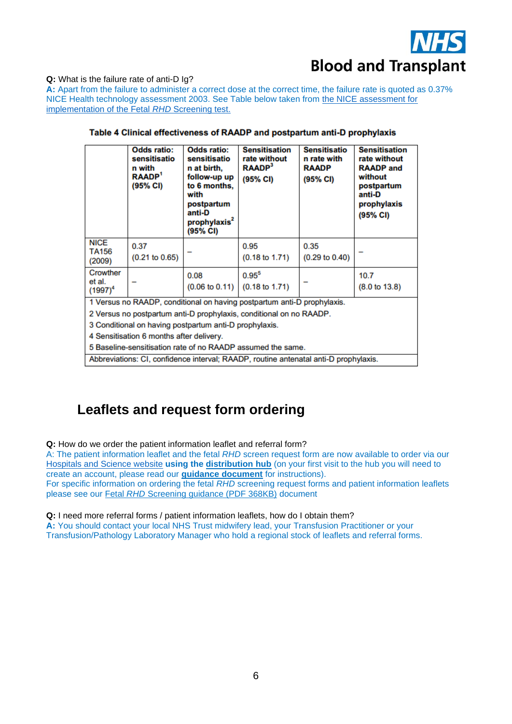

<span id="page-5-0"></span>**Q:** What is the failure rate of anti-D Ig?

**A:** Apart from the failure to administer a correct dose at the correct time, the failure rate is quoted as 0.37% NICE Health technology assessment 2003. See Table below taken from [the NICE assessment for](https://www.nice.org.uk/guidance/dg25/chapter/4-Evidence)  [implementation of the Fetal](https://www.nice.org.uk/guidance/dg25/chapter/4-Evidence) *RHD* Screening test.

|                                                                                      | <b>Odds ratio:</b><br>sensitisatio<br>n with<br><b>RAADP</b><br>(95% CI) | <b>Odds ratio:</b><br>sensitisatio<br>n at birth,<br>follow-up up<br>to 6 months,<br>with<br>postpartum<br>anti-D<br>prophylaxis <sup>2</sup><br>(95% CI) | <b>Sensitisation</b><br>rate without<br><b>RAADP</b> <sup>3</sup><br>(95% CI) | <b>Sensitisatio</b><br>n rate with<br><b>RAADP</b><br>(95% CI) | <b>Sensitisation</b><br>rate without<br><b>RAADP</b> and<br>without<br>postpartum<br>anti-D<br>prophylaxis<br>(95% CI) |  |  |
|--------------------------------------------------------------------------------------|--------------------------------------------------------------------------|-----------------------------------------------------------------------------------------------------------------------------------------------------------|-------------------------------------------------------------------------------|----------------------------------------------------------------|------------------------------------------------------------------------------------------------------------------------|--|--|
| <b>NICE</b><br>TA156<br>(2009)                                                       | 0.37<br>(0.21 to 0.65)                                                   |                                                                                                                                                           | 0.95<br>$(0.18 \text{ to } 1.71)$                                             | 0.35<br>$(0.29 \text{ to } 0.40)$                              |                                                                                                                        |  |  |
| Crowther<br>et al.<br>$(1997)^4$                                                     |                                                                          | 0.08<br>$(0.06 \text{ to } 0.11)$                                                                                                                         | $0.95^{5}$<br>$(0.18 \text{ to } 1.71)$                                       |                                                                | 10.7<br>$(8.0 \text{ to } 13.8)$                                                                                       |  |  |
| 1 Versus no RAADP, conditional on having postpartum anti-D prophylaxis.              |                                                                          |                                                                                                                                                           |                                                                               |                                                                |                                                                                                                        |  |  |
| 2 Versus no postpartum anti-D prophylaxis, conditional on no RAADP.                  |                                                                          |                                                                                                                                                           |                                                                               |                                                                |                                                                                                                        |  |  |
| 3 Conditional on having postpartum anti-D prophylaxis.                               |                                                                          |                                                                                                                                                           |                                                                               |                                                                |                                                                                                                        |  |  |
| 4 Sensitisation 6 months after delivery.                                             |                                                                          |                                                                                                                                                           |                                                                               |                                                                |                                                                                                                        |  |  |
| 5 Baseline-sensitisation rate of no RAADP assumed the same.                          |                                                                          |                                                                                                                                                           |                                                                               |                                                                |                                                                                                                        |  |  |
| Abbreviations: CI, confidence interval; RAADP, routine antenatal anti-D prophylaxis. |                                                                          |                                                                                                                                                           |                                                                               |                                                                |                                                                                                                        |  |  |

#### Table 4 Clinical effectiveness of RAADP and postpartum anti-D prophylaxis

## <span id="page-5-4"></span><span id="page-5-1"></span>**Leaflets and request form ordering**

<span id="page-5-2"></span>**Q:** How do we order the patient information leaflet and referral form?

A: The patient information leaflet and the fetal *RHD* screen request form are now available to order via our [Hospitals and Science website](http://hospital.blood.co.uk/patient-services/patient-blood-management/patient-information-leaflets/) **using the [distribution hub](https://hospital.nhsbtleaflets.co.uk/)** (on your first visit to the hub you will need to create an account, please read our **[guidance document](http://hospital.blood.co.uk/media/29289/ordering-patient-information-leaflet-v1.pdf)** for instructions). For specific information on ordering the fetal *RHD* screening request forms and patient information leaflets

please see our Fetal *RHD* [Screening guidance \(PDF 368KB\)](https://nhsbtdbe.blob.core.windows.net/umbraco-assets-corp/21811/fetal-rhd-screening-guidance.pdf) document

<span id="page-5-3"></span>**Q:** I need more referral forms / patient information leaflets, how do I obtain them?

**A:** You should contact your local NHS Trust midwifery lead, your Transfusion Practitioner or your Transfusion/Pathology Laboratory Manager who hold a regional stock of leaflets and referral forms.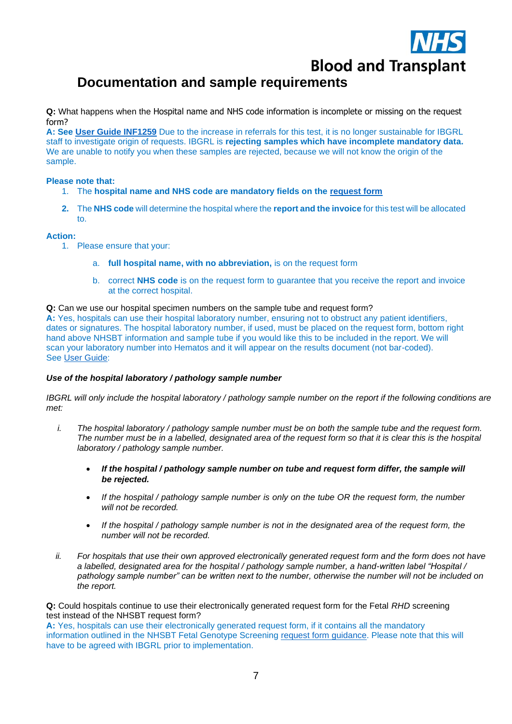

# **Documentation and sample requirements**

<span id="page-6-0"></span>**Q:** What happens when the Hospital name and NHS code information is incomplete or missing on the request form?

**A: See [User Guide INF1259](https://nhsbtdbe.blob.core.windows.net/umbraco-assets-corp/11849/inf1259.pdf)** Due to the increase in referrals for this test, it is no longer sustainable for IBGRL staff to investigate origin of requests. IBGRL is **rejecting samples which have incomplete mandatory data.** We are unable to notify you when these samples are rejected, because we will not know the origin of the sample.

#### **Please note that:**

- 1. The **hospital name and NHS code are mandatory fields on the [request form](https://nhsbtdbe.blob.core.windows.net/umbraco-assets-corp/7761/free-foetal-test-form-frm5197.pdf)**
- **2.** The **NHS code** will determine the hospital where the **report and the invoice** for this test will be allocated to.

#### **Action:**

- 1. Please ensure that your:
	- a. **full hospital name, with no abbreviation,** is on the request form
	- b. correct **NHS code** is on the request form to guarantee that you receive the report and invoice at the correct hospital.

#### <span id="page-6-1"></span>**Q:** Can we use our hospital specimen numbers on the sample tube and request form?

**A:** Yes, hospitals can use their hospital laboratory number, ensuring not to obstruct any patient identifiers, dates or signatures. The hospital laboratory number, if used, must be placed on the request form, bottom right hand above NHSBT information and sample tube if you would like this to be included in the report. We will scan your laboratory number into Hematos and it will appear on the results document (not bar-coded). See [User Guide:](https://nhsbtdbe.blob.core.windows.net/umbraco-assets-corp/11849/inf1259.pdf)

#### *Use of the hospital laboratory / pathology sample number*

*IBGRL will only include the hospital laboratory / pathology sample number on the report if the following conditions are met:*

- *i. The hospital laboratory / pathology sample number must be on both the sample tube and the request form. The number must be in a labelled, designated area of the request form so that it is clear this is the hospital laboratory / pathology sample number.*
	- *If the hospital / pathology sample number on tube and request form differ, the sample will be rejected.*
	- *If the hospital / pathology sample number is only on the tube OR the request form, the number will not be recorded.*
	- *If the hospital / pathology sample number is not in the designated area of the request form, the number will not be recorded.*
- *ii. For hospitals that use their own approved electronically generated request form and the form does not have a labelled, designated area for the hospital / pathology sample number, a hand-written label "Hospital / pathology sample number" can be written next to the number, otherwise the number will not be included on the report.*

<span id="page-6-2"></span>**Q:** Could hospitals continue to use their electronically generated request form for the Fetal *RHD* screening test instead of the NHSBT request form?

**A:** Yes, hospitals can use their electronically generated request form, if it contains all the mandatory information outlined in the NHSBT Fetal Genotype Screening [request form](https://nhsbtdbe.blob.core.windows.net/umbraco-assets-corp/11850/inf1340.pdf) guidance. Please note that this will have to be agreed with IBGRL prior to implementation.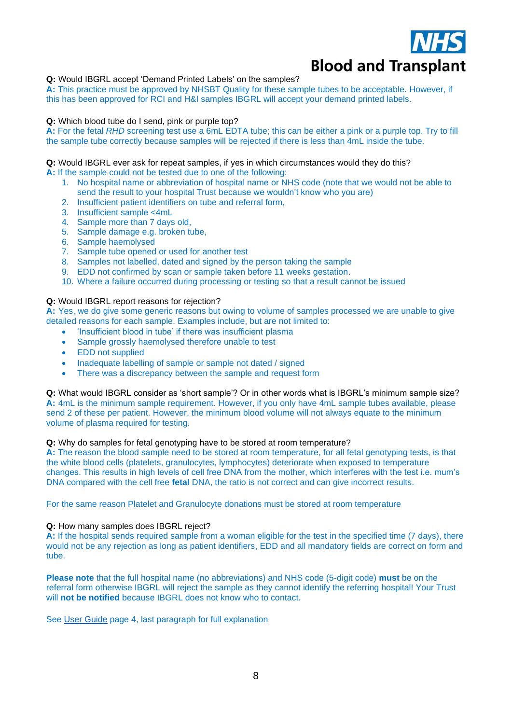

<span id="page-7-0"></span>**Q:** Would IBGRL accept 'Demand Printed Labels' on the samples?

**A:** This practice must be approved by NHSBT Quality for these sample tubes to be acceptable. However, if this has been approved for RCI and H&I samples IBGRL will accept your demand printed labels.

#### <span id="page-7-1"></span>**Q:** Which blood tube do I send, pink or purple top?

**A:** For the fetal *RHD* screening test use a 6mL EDTA tube; this can be either a pink or a purple top. Try to fill the sample tube correctly because samples will be rejected if there is less than 4mL inside the tube.

#### **Q:** Would IBGRL ever ask for repeat samples, if yes in which circumstances would they do this?

**A:** If the sample could not be tested due to one of the following:

- 1. No hospital name or abbreviation of hospital name or NHS code (note that we would not be able to send the result to your hospital Trust because we wouldn't know who you are)
- 2. Insufficient patient identifiers on tube and referral form,
- 3. Insufficient sample <4mL
- 4. Sample more than 7 days old,
- 5. Sample damage e.g. broken tube,
- 6. Sample haemolysed
- 7. Sample tube opened or used for another test
- 8. Samples not labelled, dated and signed by the person taking the sample
- 9. EDD not confirmed by scan or sample taken before 11 weeks gestation.
- 10. Where a failure occurred during processing or testing so that a result cannot be issued

#### **Q:** Would IBGRL report reasons for rejection?

**A:** Yes, we do give some generic reasons but owing to volume of samples processed we are unable to give detailed reasons for each sample. Examples include, but are not limited to:

- 'Insufficient blood in tube' if there was insufficient plasma
- Sample grossly haemolysed therefore unable to test
- EDD not supplied
- Inadequate labelling of sample or sample not dated / signed
- There was a discrepancy between the sample and request form

<span id="page-7-2"></span>**Q:** What would IBGRL consider as 'short sample'? Or in other words what is IBGRL's minimum sample size? **A:** 4mL is the minimum sample requirement. However, if you only have 4mL sample tubes available, please send 2 of these per patient. However, the minimum blood volume will not always equate to the minimum volume of plasma required for testing.

#### <span id="page-7-3"></span>**Q:** Why do samples for fetal genotyping have to be stored at room temperature?

**A:** The reason the blood sample need to be stored at room temperature, for all fetal genotyping tests, is that the white blood cells (platelets, granulocytes, lymphocytes) deteriorate when exposed to temperature changes. This results in high levels of cell free DNA from the mother, which interferes with the test i.e. mum's DNA compared with the cell free **fetal** DNA, the ratio is not correct and can give incorrect results.

For the same reason Platelet and Granulocyte donations must be stored at room temperature

#### <span id="page-7-4"></span>**Q:** How many samples does IBGRL reject?

**A:** If the hospital sends required sample from a woman eligible for the test in the specified time (7 days), there would not be any rejection as long as patient identifiers, EDD and all mandatory fields are correct on form and tube.

**Please note** that the full hospital name (no abbreviations) and NHS code (5-digit code) **must** be on the referral form otherwise IBGRL will reject the sample as they cannot identify the referring hospital! Your Trust will **not be notified** because IBGRL does not know who to contact.

See [User Guide](https://nhsbtdbe.blob.core.windows.net/umbraco-assets-corp/11849/inf1259.pdf) page 4, last paragraph for full explanation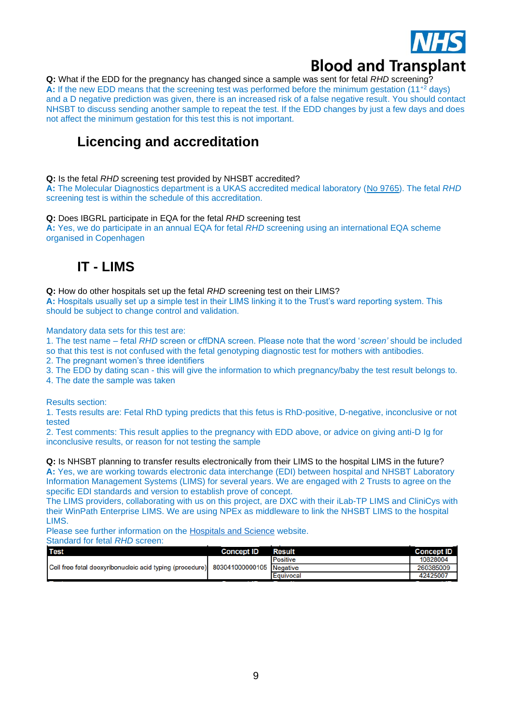

<span id="page-8-0"></span>**Q:** What if the EDD for the pregnancy has changed since a sample was sent for fetal *RHD* screening? **A:** If the new EDD means that the screening test was performed before the minimum gestation (11+2 days) and a D negative prediction was given, there is an increased risk of a false negative result. You should contact NHSBT to discuss sending another sample to repeat the test. If the EDD changes by just a few days and does not affect the minimum gestation for this test this is not important.

## **Licencing and accreditation**

<span id="page-8-1"></span>**Q:** Is the fetal *RHD* screening test provided by NHSBT accredited?

**A:** The Molecular Diagnostics department is a UKAS accredited medical laboratory [\(No 9765\)](https://nhsbtdbe.blob.core.windows.net/umbraco-assets-corp/23323/9765-ukas-shedule-of-accreditation.pdf). The fetal *RHD*  screening test is within the schedule of this accreditation.

<span id="page-8-2"></span>**Q:** Does IBGRL participate in EQA for the fetal *RHD* screening test

**A:** Yes, we do participate in an annual EQA for fetal *RHD* screening using an international EQA scheme organised in Copenhagen

## **IT - LIMS**

<span id="page-8-4"></span><span id="page-8-3"></span>**Q:** How do other hospitals set up the fetal *RHD* screening test on their LIMS? **A:** Hospitals usually set up a simple test in their LIMS linking it to the Trust's ward reporting system. This should be subject to change control and validation.

Mandatory data sets for this test are:

1. The test name – fetal *RHD* screen or cffDNA screen. Please note that the word '*screen'* should be included so that this test is not confused with the fetal genotyping diagnostic test for mothers with antibodies.

2. The pregnant women's three identifiers

3. The EDD by dating scan - this will give the information to which pregnancy/baby the test result belongs to.

4. The date the sample was taken

Results section:

1. Tests results are: Fetal RhD typing predicts that this fetus is RhD-positive, D-negative, inconclusive or not tested

2. Test comments: This result applies to the pregnancy with EDD above, or advice on giving anti-D Ig for inconclusive results, or reason for not testing the sample

<span id="page-8-5"></span>**Q:** Is NHSBT planning to transfer results electronically from their LIMS to the hospital LIMS in the future? **A:** Yes, we are working towards electronic data interchange (EDI) between hospital and NHSBT Laboratory Information Management Systems (LIMS) for several years. We are engaged with 2 Trusts to agree on the specific EDI standards and version to establish prove of concept.

The LIMS providers, collaborating with us on this project, are DXC with their iLab-TP LIMS and CliniCys with their WinPath Enterprise LIMS. We are using NPEx as middleware to link the NHSBT LIMS to the hospital LIMS.

Please see further information on the [Hospitals and Science](https://hospital.blood.co.uk/diagnostic-services/red-cell-immunohaematology/service-developments/) website.

Standard for fetal *RHD* screen:

<span id="page-8-6"></span>

| <b>Concept ID</b> | <b>Result</b> | <b>Concept ID</b>                                                                              |
|-------------------|---------------|------------------------------------------------------------------------------------------------|
|                   | Positive      | 10828004                                                                                       |
|                   |               | 260385009                                                                                      |
|                   |               | 42425007                                                                                       |
|                   |               | Cell free fetal deoxyribonucleic acid typing (procedure) 803041000000105 Negative<br>Equivocal |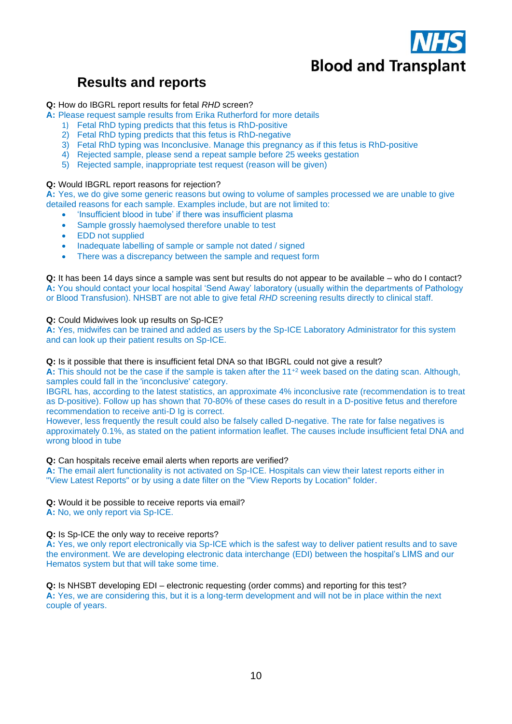

## **Results and reports**

### <span id="page-9-0"></span>**Q:** How do IBGRL report results for fetal *RHD* screen?

- **A:** Please request sample results from Erika Rutherford for more details
	- 1) Fetal RhD typing predicts that this fetus is RhD-positive
	- 2) Fetal RhD typing predicts that this fetus is RhD-negative
	- 3) Fetal RhD typing was Inconclusive. Manage this pregnancy as if this fetus is RhD-positive
	- 4) Rejected sample, please send a repeat sample before 25 weeks gestation
	- 5) Rejected sample, inappropriate test request (reason will be given)

#### <span id="page-9-1"></span>**Q:** Would IBGRL report reasons for rejection?

**A:** Yes, we do give some generic reasons but owing to volume of samples processed we are unable to give detailed reasons for each sample. Examples include, but are not limited to:

- 'Insufficient blood in tube' if there was insufficient plasma
- Sample grossly haemolysed therefore unable to test
- EDD not supplied
- Inadequate labelling of sample or sample not dated / signed
- <span id="page-9-2"></span>There was a discrepancy between the sample and request form

**Q:** It has been 14 days since a sample was sent but results do not appear to be available – who do I contact? **A:** You should contact your local hospital 'Send Away' laboratory (usually within the departments of Pathology or Blood Transfusion). NHSBT are not able to give fetal *RHD* screening results directly to clinical staff.

#### <span id="page-9-3"></span>**Q:** Could Midwives look up results on Sp-ICE?

**A:** Yes, midwifes can be trained and added as users by the Sp-ICE Laboratory Administrator for this system and can look up their patient results on Sp-ICE.

#### <span id="page-9-4"></span>**Q:** Is it possible that there is insufficient fetal DNA so that IBGRL could not give a result?

**A:** This should not be the case if the sample is taken after the 11+2 week based on the dating scan. Although, samples could fall in the 'inconclusive' category.

IBGRL has, according to the latest statistics, an approximate 4% inconclusive rate (recommendation is to treat as D-positive). Follow up has shown that 70-80% of these cases do result in a D-positive fetus and therefore recommendation to receive anti-D Ig is correct.

However, less frequently the result could also be falsely called D-negative. The rate for false negatives is approximately 0.1%, as stated on the patient information leaflet. The causes include insufficient fetal DNA and wrong blood in tube

<span id="page-9-5"></span>**Q:** Can hospitals receive email alerts when reports are verified?

**A:** The email alert functionality is not activated on Sp-ICE. Hospitals can view their latest reports either in "View Latest Reports" or by using a date filter on the "View Reports by Location" folder.

<span id="page-9-6"></span>**Q:** Would it be possible to receive reports via email?

**A:** No, we only report via Sp-ICE.

#### <span id="page-9-7"></span>**Q:** Is Sp-ICE the only way to receive reports?

**A:** Yes, we only report electronically via Sp-ICE which is the safest way to deliver patient results and to save the environment. We are developing electronic data interchange (EDI) between the hospital's LIMS and our Hematos system but that will take some time.

<span id="page-9-8"></span>**Q:** Is NHSBT developing EDI – electronic requesting (order comms) and reporting for this test? **A:** Yes, we are considering this, but it is a long-term development and will not be in place within the next couple of years.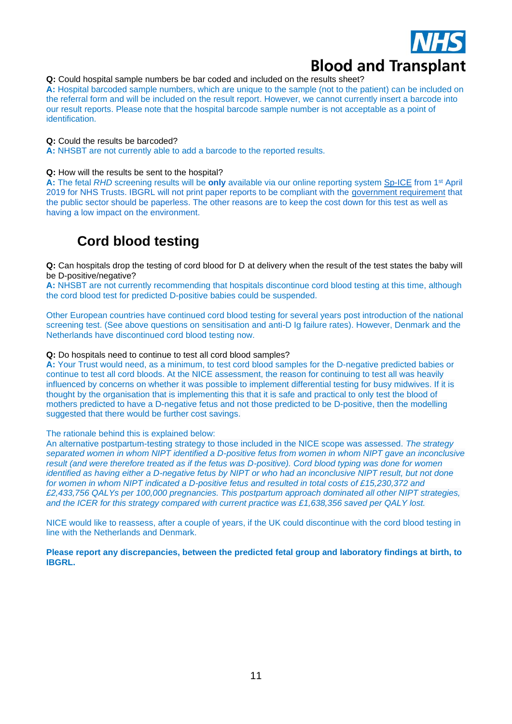

<span id="page-10-0"></span>**Q:** Could hospital sample numbers be bar coded and included on the results sheet?

**A:** Hospital barcoded sample numbers, which are unique to the sample (not to the patient) can be included on the referral form and will be included on the result report. However, we cannot currently insert a barcode into our result reports. Please note that the hospital barcode sample number is not acceptable as a point of identification.

#### <span id="page-10-1"></span>**Q:** Could the results be barcoded?

**A:** NHSBT are not currently able to add a barcode to the reported results.

#### <span id="page-10-2"></span>**Q:** How will the results be sent to the hospital?

**A:** The fetal *RHD* screening results will be **only** available via our online reporting system [Sp-ICE](http://hospital.blood.co.uk/diagnostic-services/sp-ice/) from 1st April 2019 for NHS Trusts. IBGRL will not print paper reports to be compliant with the [government requirement](https://simpligov.com/4-benefits-paperless-government-automation/) that the public sector should be paperless. The other reasons are to keep the cost down for this test as well as having a low impact on the environment.

## **Cord blood testing**

<span id="page-10-4"></span><span id="page-10-3"></span>**Q:** Can hospitals drop the testing of cord blood for D at delivery when the result of the test states the baby will be D-positive/negative?

**A:** NHSBT are not currently recommending that hospitals discontinue cord blood testing at this time, although the cord blood test for predicted D-positive babies could be suspended.

Other European countries have continued cord blood testing for several years post introduction of the national screening test. (See above questions on sensitisation and anti-D Ig failure rates). However, Denmark and the Netherlands have discontinued cord blood testing now.

#### <span id="page-10-5"></span>**Q:** Do hospitals need to continue to test all cord blood samples?

**A:** Your Trust would need, as a minimum, to test cord blood samples for the D-negative predicted babies or continue to test all cord bloods. At the NICE assessment, the reason for continuing to test all was heavily influenced by concerns on whether it was possible to implement differential testing for busy midwives. If it is thought by the organisation that is implementing this that it is safe and practical to only test the blood of mothers predicted to have a D-negative fetus and not those predicted to be D-positive, then the modelling suggested that there would be further cost savings.

#### The rationale behind this is explained below:

An alternative postpartum-testing strategy to those included in the NICE scope was assessed. *The strategy separated women in whom NIPT identified a D-positive fetus from women in whom NIPT gave an inconclusive result (and were therefore treated as if the fetus was D-positive). Cord blood typing was done for women identified as having either a D-negative fetus by NIPT or who had an inconclusive NIPT result, but not done for women in whom NIPT indicated a D-positive fetus and resulted in total costs of £15,230,372 and £2,433,756 QALYs per 100,000 pregnancies. This postpartum approach dominated all other NIPT strategies, and the ICER for this strategy compared with current practice was £1,638,356 saved per QALY lost.*

NICE would like to reassess, after a couple of years, if the UK could discontinue with the cord blood testing in line with the Netherlands and Denmark.

<span id="page-10-6"></span>**Please report any discrepancies, between the predicted fetal group and laboratory findings at birth, to IBGRL.**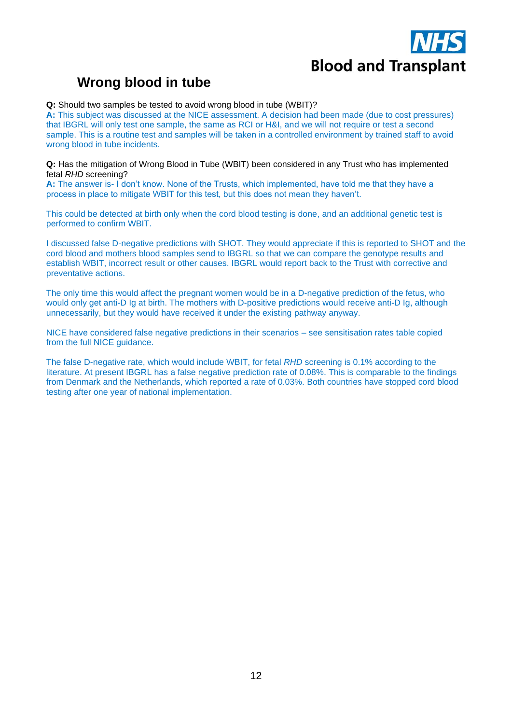

# **Wrong blood in tube**

#### <span id="page-11-0"></span>**Q:** Should two samples be tested to avoid wrong blood in tube (WBIT)?

**A:** This subject was discussed at the NICE assessment. A decision had been made (due to cost pressures) that IBGRL will only test one sample, the same as RCI or H&I, and we will not require or test a second sample. This is a routine test and samples will be taken in a controlled environment by trained staff to avoid wrong blood in tube incidents.

<span id="page-11-1"></span>**Q:** Has the mitigation of Wrong Blood in Tube (WBIT) been considered in any Trust who has implemented fetal *RHD* screening?

**A:** The answer is- I don't know. None of the Trusts, which implemented, have told me that they have a process in place to mitigate WBIT for this test, but this does not mean they haven't.

This could be detected at birth only when the cord blood testing is done, and an additional genetic test is performed to confirm WBIT.

I discussed false D-negative predictions with SHOT. They would appreciate if this is reported to SHOT and the cord blood and mothers blood samples send to IBGRL so that we can compare the genotype results and establish WBIT, incorrect result or other causes. IBGRL would report back to the Trust with corrective and preventative actions.

The only time this would affect the pregnant women would be in a D-negative prediction of the fetus, who would only get anti-D Ig at birth. The mothers with D-positive predictions would receive anti-D Ig, although unnecessarily, but they would have received it under the existing pathway anyway.

NICE have considered false negative predictions in their scenarios – see sensitisation rates table copied from the full NICE guidance.

The false D-negative rate, which would include WBIT, for fetal *RHD* screening is 0.1% according to the literature. At present IBGRL has a false negative prediction rate of 0.08%. This is comparable to the findings from Denmark and the Netherlands, which reported a rate of 0.03%. Both countries have stopped cord blood testing after one year of national implementation.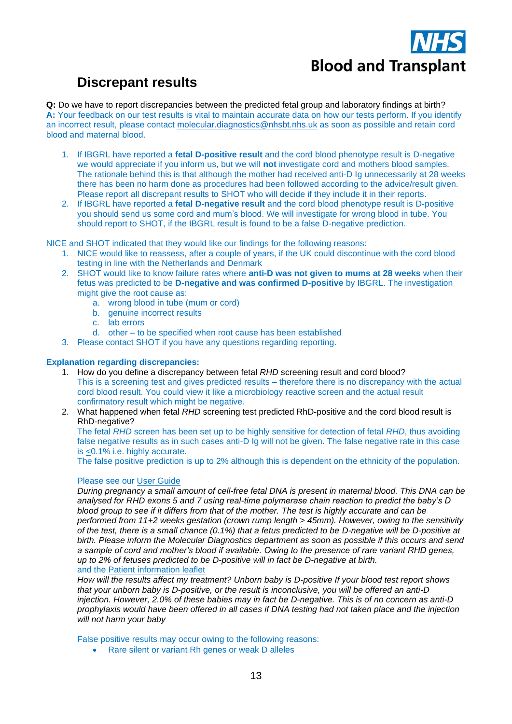

# **Discrepant results**

<span id="page-12-1"></span><span id="page-12-0"></span>**Q:** Do we have to report discrepancies between the predicted fetal group and laboratory findings at birth? **A:** Your feedback on our test results is vital to maintain accurate data on how our tests perform. If you identify an incorrect result, please contact [molecular.diagnostics@nhsbt.nhs.uk](mailto:molecular.diagnostics@nhsbt.nhs.uk) as soon as possible and retain cord blood and maternal blood.

- 1. If IBGRL have reported a **fetal D-positive result** and the cord blood phenotype result is D-negative we would appreciate if you inform us, but we will **not** investigate cord and mothers blood samples. The rationale behind this is that although the mother had received anti-D Ig unnecessarily at 28 weeks there has been no harm done as procedures had been followed according to the advice/result given. Please report all discrepant results to SHOT who will decide if they include it in their reports.
- 2. If IBGRL have reported a **fetal D-negative result** and the cord blood phenotype result is D-positive you should send us some cord and mum's blood. We will investigate for wrong blood in tube. You should report to SHOT, if the IBGRL result is found to be a false D-negative prediction.

NICE and SHOT indicated that they would like our findings for the following reasons:

- 1. NICE would like to reassess, after a couple of years, if the UK could discontinue with the cord blood testing in line with the Netherlands and Denmark
- 2. SHOT would like to know failure rates where **anti-D was not given to mums at 28 weeks** when their fetus was predicted to be **D-negative and was confirmed D-positive** by IBGRL. The investigation might give the root cause as:
	- a. wrong blood in tube (mum or cord)
	- b. genuine incorrect results
	- c. lab errors
	- d. other to be specified when root cause has been established
- 3. Please contact SHOT if you have any questions regarding reporting.

## <span id="page-12-2"></span>**Explanation regarding discrepancies:**

- 1. How do you define a discrepancy between fetal *RHD* screening result and cord blood? This is a screening test and gives predicted results – therefore there is no discrepancy with the actual cord blood result. You could view it like a microbiology reactive screen and the actual result confirmatory result which might be negative.
- <span id="page-12-3"></span>2. What happened when fetal *RHD* screening test predicted RhD-positive and the cord blood result is RhD-negative?

The fetal *RHD* screen has been set up to be highly sensitive for detection of fetal *RHD*, thus avoiding false negative results as in such cases anti-D Ig will not be given. The false negative rate in this case is <0.1% i.e. highly accurate.

The false positive prediction is up to 2% although this is dependent on the ethnicity of the population.

#### Please see our [User Guide](https://nhsbtdbe.blob.core.windows.net/umbraco-assets-corp/10757/inf1259.pdf)

*During pregnancy a small amount of cell-free fetal DNA is present in maternal blood. This DNA can be analysed for RHD exons 5 and 7 using real-time polymerase chain reaction to predict the baby's D blood group to see if it differs from that of the mother. The test is highly accurate and can be performed from 11+2 weeks gestation (crown rump length > 45mm). However, owing to the sensitivity of the test, there is a small chance (0.1%) that a fetus predicted to be D-negative will be D-positive at birth. Please inform the Molecular Diagnostics department as soon as possible if this occurs and send a sample of cord and mother's blood if available. Owing to the presence of rare variant RHD genes, up to 2% of fetuses predicted to be D-positive will in fact be D-negative at birth.* and the [Patient information leaflet](https://nhsbtdbe.blob.core.windows.net/umbraco-assets-corp/4401/inf1263.pdf)

*How will the results affect my treatment? Unborn baby is D-positive If your blood test report shows that your unborn baby is D-positive, or the result is inconclusive, you will be offered an anti-D injection. However, 2.0% of these babies may in fact be D-negative. This is of no concern as anti-D prophylaxis would have been offered in all cases if DNA testing had not taken place and the injection will not harm your baby*

False positive results may occur owing to the following reasons:

• Rare silent or variant Rh genes or weak D alleles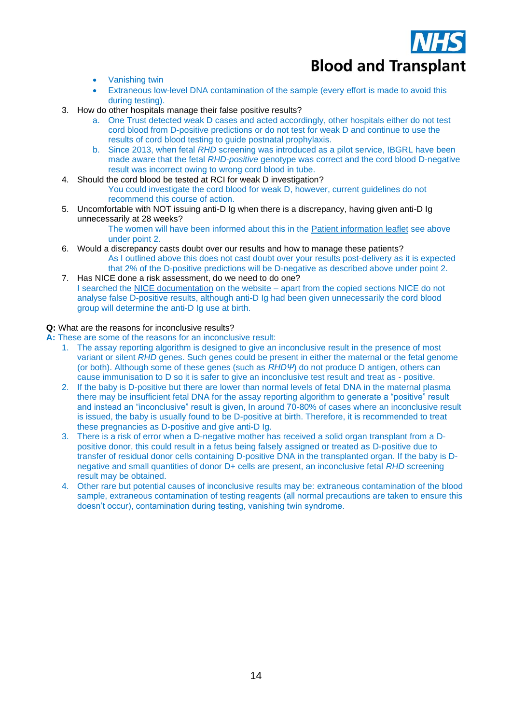

- Vanishing twin
- Extraneous low-level DNA contamination of the sample (every effort is made to avoid this during testing).
- <span id="page-13-2"></span>3. How do other hospitals manage their false positive results?
	- a. One Trust detected weak D cases and acted accordingly, other hospitals either do not test cord blood from D-positive predictions or do not test for weak D and continue to use the results of cord blood testing to guide postnatal prophylaxis.
	- b. Since 2013, when fetal *RHD* screening was introduced as a pilot service, IBGRL have been made aware that the fetal *RHD-positive* genotype was correct and the cord blood D-negative result was incorrect owing to wrong cord blood in tube.
- <span id="page-13-3"></span>4. Should the cord blood be tested at RCI for weak D investigation?

You could investigate the cord blood for weak D, however, current guidelines do not recommend this course of action.

<span id="page-13-0"></span>5. Uncomfortable with NOT issuing anti-D Ig when there is a discrepancy, having given anti-D Ig unnecessarily at 28 weeks?

The women will have been informed about this in the [Patient information leaflet](https://nhsbtdbe.blob.core.windows.net/umbraco-assets-corp/4401/inf1263.pdf) see above under point 2.

- <span id="page-13-1"></span>6. Would a discrepancy casts doubt over our results and how to manage these patients? As I outlined above this does not cast doubt over your results post-delivery as it is expected that 2% of the D-positive predictions will be D-negative as described above under point 2.
- <span id="page-13-4"></span>7. Has NICE done a risk assessment, do we need to do one? I searched the [NICE documentation](https://www.nice.org.uk/guidance/dg25/) on the website – apart from the copied sections NICE do not analyse false D-positive results, although anti-D Ig had been given unnecessarily the cord blood group will determine the anti-D Ig use at birth.

#### <span id="page-13-5"></span>**Q:** What are the reasons for inconclusive results?

- <span id="page-13-6"></span>**A:** These are some of the reasons for an inconclusive result:
	- 1. The assay reporting algorithm is designed to give an inconclusive result in the presence of most variant or silent *RHD* genes. Such genes could be present in either the maternal or the fetal genome (or both). Although some of these genes (such as *RHDΨ*) do not produce D antigen, others can cause immunisation to D so it is safer to give an inconclusive test result and treat as - positive.
	- 2. If the baby is D-positive but there are lower than normal levels of fetal DNA in the maternal plasma there may be insufficient fetal DNA for the assay reporting algorithm to generate a "positive" result and instead an "inconclusive" result is given, In around 70-80% of cases where an inconclusive result is issued, the baby is usually found to be D-positive at birth. Therefore, it is recommended to treat these pregnancies as D-positive and give anti-D Ig.
	- 3. There is a risk of error when a D-negative mother has received a solid organ transplant from a Dpositive donor, this could result in a fetus being falsely assigned or treated as D-positive due to transfer of residual donor cells containing D-positive DNA in the transplanted organ. If the baby is Dnegative and small quantities of donor D+ cells are present, an inconclusive fetal *RHD* screening result may be obtained.
	- 4. Other rare but potential causes of inconclusive results may be: extraneous contamination of the blood sample, extraneous contamination of testing reagents (all normal precautions are taken to ensure this doesn't occur), contamination during testing, vanishing twin syndrome.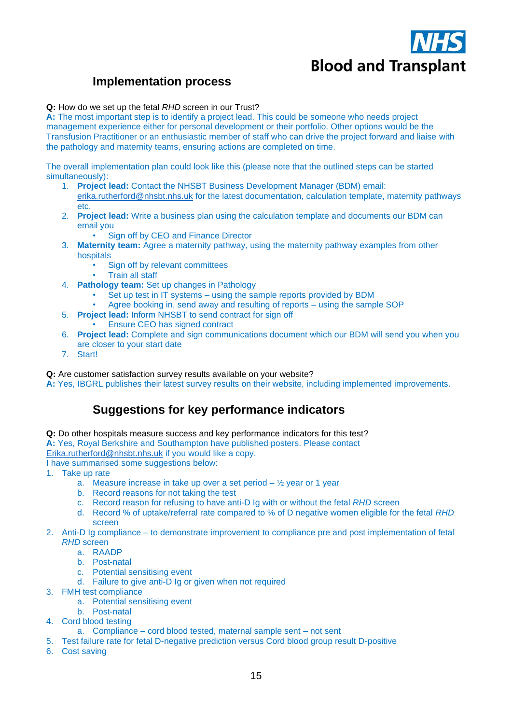

## **Implementation process**

#### **Q:** How do we set up the fetal *RHD* screen in our Trust?

**A:** The most important step is to identify a project lead. This could be someone who needs project management experience either for personal development or their portfolio. Other options would be the Transfusion Practitioner or an enthusiastic member of staff who can drive the project forward and liaise with the pathology and maternity teams, ensuring actions are completed on time.

The overall implementation plan could look like this (please note that the outlined steps can be started simultaneously):

- 1. **Project lead:** Contact the NHSBT Business Development Manager (BDM) email: [erika.rutherford@nhsbt.nhs.uk](mailto:erika.rutherford@nhsbt.nhs.uk) for the latest documentation, calculation template, maternity pathways etc.
- 2. **Project lead:** Write a business plan using the calculation template and documents our BDM can email you
	- Sign off by CEO and Finance Director
- 3. **Maternity team:** Agree a maternity pathway, using the maternity pathway examples from other hospitals
	- Sign off by relevant committees
	- Train all staff
- 4. **Pathology team:** Set up changes in Pathology
	- Set up test in IT systems using the sample reports provided by BDM
	- Agree booking in, send away and resulting of reports using the sample SOP
- 5. **Project lead:** Inform NHSBT to send contract for sign off • Ensure CEO has signed contract
- 6. **Project lead:** Complete and sign communications document which our BDM will send you when you are closer to your start date
- 7. Start!

#### <span id="page-14-0"></span>**Q:** Are customer satisfaction survey results available on your website?

<span id="page-14-1"></span>**A:** Yes, IBGRL publishes their latest survey results on their website, including implemented improvements.

## **Suggestions for key performance indicators**

- **Q:** Do other hospitals measure success and key performance indicators for this test?
- **A:** Yes, Royal Berkshire and Southampton have published posters. Please contact

[Erika.rutherford@nhsbt.nhs.uk](mailto:Erika.rutherford@nhsbt.nhs.uk) if you would like a copy.

I have summarised some suggestions below:

- 1. Take up rate
	- a. Measure increase in take up over a set period  $-$  1/2 year or 1 year
	- b. Record reasons for not taking the test
	- c. Record reason for refusing to have anti-D Ig with or without the fetal *RHD* screen
	- d. Record % of uptake/referral rate compared to % of D negative women eligible for the fetal *RHD* screen
- 2. Anti-D Ig compliance to demonstrate improvement to compliance pre and post implementation of fetal *RHD* screen
	- a. RAADP
	- b. Post-natal
	- c. Potential sensitising event
	- d. Failure to give anti-D Ig or given when not required
- 3. FMH test compliance
	- a. Potential sensitising event
	- b. Post-natal
- 4. Cord blood testing
	- a. Compliance cord blood tested, maternal sample sent not sent
- 5. Test failure rate for fetal D-negative prediction versus Cord blood group result D-positive
- 6. Cost saving